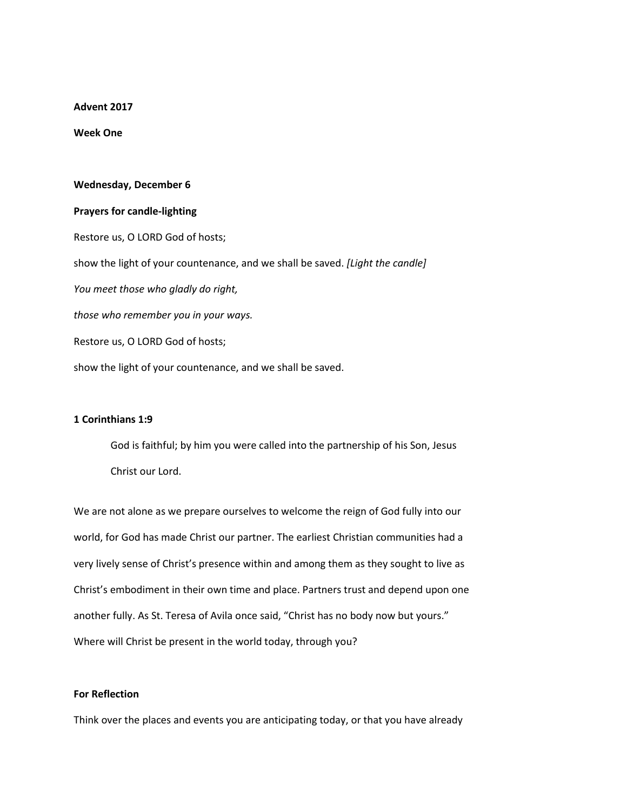**Advent 2017**

**Week One**

## **Wednesday, December 6**

## **Prayers for candle-lighting**

Restore us, O LORD God of hosts; show the light of your countenance, and we shall be saved. *[Light the candle] You meet those who gladly do right, those who remember you in your ways.* Restore us, O LORD God of hosts; show the light of your countenance, and we shall be saved.

## **1 Corinthians 1:9**

God is faithful; by him you were called into the partnership of his Son, Jesus Christ our Lord.

We are not alone as we prepare ourselves to welcome the reign of God fully into our world, for God has made Christ our partner. The earliest Christian communities had a very lively sense of Christ's presence within and among them as they sought to live as Christ's embodiment in their own time and place. Partners trust and depend upon one another fully. As St. Teresa of Avila once said, "Christ has no body now but yours." Where will Christ be present in the world today, through you?

## **For Reflection**

Think over the places and events you are anticipating today, or that you have already